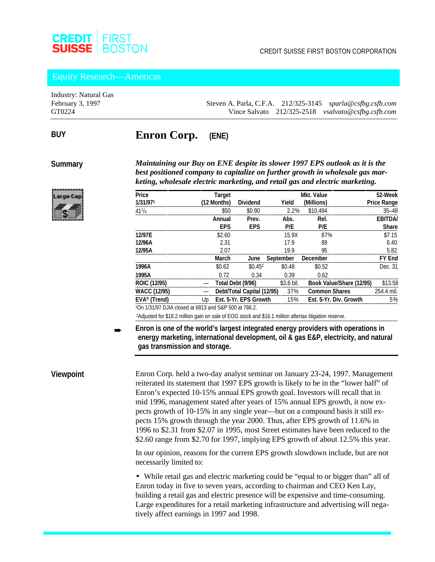

#### Equity Research—Americas

Industry: Natural Gas

February 3, 1997 Steven A. Parla, C.F.A. 212/325-3145 *sparla@csfbg.csfb.com* GT0224 Vince Salvato 212/325-2518 *vsalvato@csfbg.csfb.com*

### **Enron Corp. (ENE)**

**Summary**

**BUY**

*Maintaining our Buy on ENE despite its slower 1997 EPS outlook as it is the best positioned company to capitalize on further growth in wholesale gas marketing, wholesale electric marketing, and retail gas and electric marketing.*

| Price               | <b>Target</b> |                            |            | <b>Mkt. Value</b>        | 52-Week            |
|---------------------|---------------|----------------------------|------------|--------------------------|--------------------|
| 1/31/971            | (12 Months)   | <b>Dividend</b>            | Yield      | (Millions)               | <b>Price Range</b> |
| $41^{1}/4$          | \$50          | \$0.90                     | 2.2%       | \$10.494                 | $35 - 48$          |
|                     | Annual        | Prev.                      | Abs.       | Rel.                     | <b>EBITDA/</b>     |
|                     | <b>EPS</b>    | <b>EPS</b>                 | P/E        | P/E                      | <b>Share</b>       |
| 12/97E              | \$2.60        |                            | 15.9X      | 87%                      | \$7.15             |
| 12/96A              | 2.31          |                            | 17.9       | 89                       | 6.40               |
| 12/95A              | 2.07          |                            | 19.9       | 95                       | 5.82               |
|                     | <b>March</b>  | June                       | September  | <b>December</b>          | <b>FY End</b>      |
| 1996A               | \$0.62        | \$0.452                    | \$0.48     | \$0.52                   | Dec. 31            |
| 1995A               | 0.72          | 0.34                       | 0.39       | 0.62                     |                    |
| ROIC (12/95)        |               | Total Debt (9/96)          | \$3.6 bil. | Book Value/Share (12/95) | \$13.58            |
| <b>WACC (12/95)</b> |               | Debt/Total Capital (12/95) | 37%        | <b>Common Shares</b>     | 254.4 mil.         |
| $EVA®$ (Trend)      | Up            | Est. 5-Yr. EPS Growth      | 15%        | Est. 5-Yr. Div. Growth   | 5%                 |
|                     |               |                            |            |                          |                    |

1On 1/31/97 DJIA closed at 6813 and S&P 500 at 786.2.

2Adjusted for \$18.2 million gain on sale of EOG stock and \$16.1 million aftertax litigation reserve.

**Enron is one of the world's largest integrated energy providers with operations in energy marketing, international development, oil & gas E&P, electricity, and natural gas transmission and storage.** ➨

#### **Viewpoint**

Enron Corp. held a two-day analyst seminar on January 23-24, 1997. Management reiterated its statement that 1997 EPS growth is likely to be in the "lower half" of Enron's expected 10-15% annual EPS growth goal. Investors will recall that in mid 1996, management stated after years of 15% annual EPS growth, it now expects growth of 10-15% in any single year—but on a compound basis it still expects 15% growth through the year 2000. Thus, after EPS growth of 11.6% in 1996 to \$2.31 from \$2.07 in 1995, most Street estimates have been reduced to the \$2.60 range from \$2.70 for 1997, implying EPS growth of about 12.5% this year.

In our opinion, reasons for the current EPS growth slowdown include, but are not necessarily limited to:

• While retail gas and electric marketing could be "equal to or bigger than" all of Enron today in five to seven years, according to chairman and CEO Ken Lay, building a retail gas and electric presence will be expensive and time-consuming. Large expenditures for a retail marketing infrastructure and advertising will negatively affect earnings in 1997 and 1998.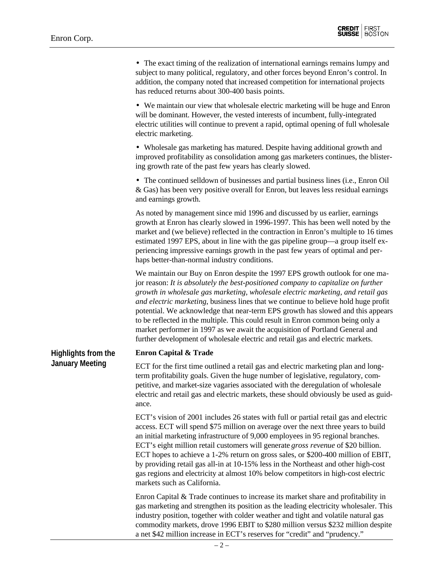**Highlights from the January Meeting**

• The exact timing of the realization of international earnings remains lumpy and subject to many political, regulatory, and other forces beyond Enron's control. In addition, the company noted that increased competition for international projects has reduced returns about 300-400 basis points.

• We maintain our view that wholesale electric marketing will be huge and Enron will be dominant. However, the vested interests of incumbent, fully-integrated electric utilities will continue to prevent a rapid, optimal opening of full wholesale electric marketing.

• Wholesale gas marketing has matured. Despite having additional growth and improved profitability as consolidation among gas marketers continues, the blistering growth rate of the past few years has clearly slowed.

• The continued selldown of businesses and partial business lines (i.e., Enron Oil & Gas) has been very positive overall for Enron, but leaves less residual earnings and earnings growth.

As noted by management since mid 1996 and discussed by us earlier, earnings growth at Enron has clearly slowed in 1996-1997. This has been well noted by the market and (we believe) reflected in the contraction in Enron's multiple to 16 times estimated 1997 EPS, about in line with the gas pipeline group—a group itself experiencing impressive earnings growth in the past few years of optimal and perhaps better-than-normal industry conditions.

We maintain our Buy on Enron despite the 1997 EPS growth outlook for one major reason: *It is absolutely the best-positioned company to capitalize on further growth in wholesale gas marketing, wholesale electric marketing, and retail gas and electric marketing*, business lines that we continue to believe hold huge profit potential. We acknowledge that near-term EPS growth has slowed and this appears to be reflected in the multiple. This could result in Enron common being only a market performer in 1997 as we await the acquisition of Portland General and further development of wholesale electric and retail gas and electric markets.

#### **Enron Capital & Trade**

ECT for the first time outlined a retail gas and electric marketing plan and longterm profitability goals. Given the huge number of legislative, regulatory, competitive, and market-size vagaries associated with the deregulation of wholesale electric and retail gas and electric markets, these should obviously be used as guidance.

ECT's vision of 2001 includes 26 states with full or partial retail gas and electric access. ECT will spend \$75 million on average over the next three years to build an initial marketing infrastructure of 9,000 employees in 95 regional branches. ECT's eight million retail customers will generate *gross revenue* of \$20 billion. ECT hopes to achieve a 1-2% return on gross sales, or \$200-400 million of EBIT, by providing retail gas all-in at 10-15% less in the Northeast and other high-cost gas regions and electricity at almost 10% below competitors in high-cost electric markets such as California.

Enron Capital & Trade continues to increase its market share and profitability in gas marketing and strengthen its position as the leading electricity wholesaler. This industry position, together with colder weather and tight and volatile natural gas commodity markets, drove 1996 EBIT to \$280 million versus \$232 million despite a net \$42 million increase in ECT's reserves for "credit" and "prudency."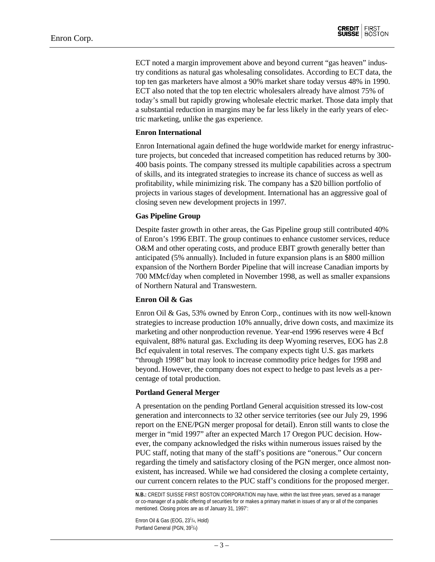ECT noted a margin improvement above and beyond current "gas heaven" industry conditions as natural gas wholesaling consolidates. According to ECT data, the top ten gas marketers have almost a 90% market share today versus 48% in 1990. ECT also noted that the top ten electric wholesalers already have almost 75% of today's small but rapidly growing wholesale electric market. Those data imply that a substantial reduction in margins may be far less likely in the early years of electric marketing, unlike the gas experience.

#### **Enron International**

Enron International again defined the huge worldwide market for energy infrastructure projects, but conceded that increased competition has reduced returns by 300- 400 basis points. The company stressed its multiple capabilities across a spectrum of skills, and its integrated strategies to increase its chance of success as well as profitability, while minimizing risk. The company has a \$20 billion portfolio of projects in various stages of development. International has an aggressive goal of closing seven new development projects in 1997.

#### **Gas Pipeline Group**

Despite faster growth in other areas, the Gas Pipeline group still contributed 40% of Enron's 1996 EBIT. The group continues to enhance customer services, reduce O&M and other operating costs, and produce EBIT growth generally better than anticipated (5% annually). Included in future expansion plans is an \$800 million expansion of the Northern Border Pipeline that will increase Canadian imports by 700 MMcf/day when completed in November 1998, as well as smaller expansions of Northern Natural and Transwestern.

#### **Enron Oil & Gas**

Enron Oil & Gas, 53% owned by Enron Corp., continues with its now well-known strategies to increase production 10% annually, drive down costs, and maximize its marketing and other nonproduction revenue. Year-end 1996 reserves were 4 Bcf equivalent, 88% natural gas. Excluding its deep Wyoming reserves, EOG has 2.8 Bcf equivalent in total reserves. The company expects tight U.S. gas markets "through 1998" but may look to increase commodity price hedges for 1998 and beyond. However, the company does not expect to hedge to past levels as a percentage of total production.

#### **Portland General Merger**

A presentation on the pending Portland General acquisition stressed its low-cost generation and interconnects to 32 other service territories (see our July 29, 1996 report on the ENE/PGN merger proposal for detail). Enron still wants to close the merger in "mid 1997" after an expected March 17 Oregon PUC decision. However, the company acknowledged the risks within numerous issues raised by the PUC staff, noting that many of the staff's positions are "onerous." Our concern regarding the timely and satisfactory closing of the PGN merger, once almost nonexistent, has increased. While we had considered the closing a complete certainty, our current concern relates to the PUC staff's conditions for the proposed merger.

Enron Oil & Gas (EOG, 23<sup>1</sup>/<sub>4</sub>, Hold) Portland General (PGN, 39<sup>1</sup>/4)

**N.B.:** CREDIT SUISSE FIRST BOSTON CORPORATION may have, within the last three years, served as a manager or co-manager of a public offering of securities for or makes a primary market in issues of any or all of the companies mentioned. Closing prices are as of January 31, 1997':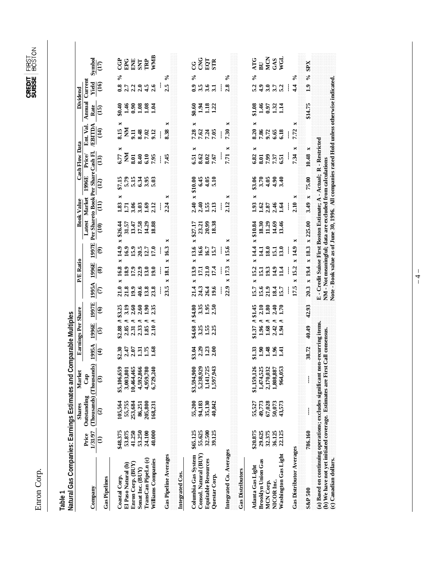Enron Corp. Enron Corp.

| Natural Gas Companies: Earnings Estimates and Com<br>Table                    |                  |                                        |                         | parable Multiples          |                                    |                     |                |                                              |                            |                |                   |                                                                     |                                        |                                                                                             |                                            |                         |                                   |
|-------------------------------------------------------------------------------|------------------|----------------------------------------|-------------------------|----------------------------|------------------------------------|---------------------|----------------|----------------------------------------------|----------------------------|----------------|-------------------|---------------------------------------------------------------------|----------------------------------------|---------------------------------------------------------------------------------------------|--------------------------------------------|-------------------------|-----------------------------------|
|                                                                               |                  | <b>Shares</b>                          | Market                  |                            | <b>Earnings Per Share</b>          |                     |                | <b>P/E Ratio</b>                             |                            |                | <b>Book Value</b> |                                                                     | Cash Flow Data                         |                                                                                             |                                            | Dividend                |                                   |
| Company                                                                       | 1/31/97<br>Price | (Thousands) (Thousands)<br>Outstanding | Cap                     | 1995A                      | 1996E                              | 1997E               | 1995A          | 1996E                                        | 1997E                      |                | Latest Market     | Per Shareto Book Per Share Cash Fl.<br><b>H966T</b>                 | Price                                  | Ent. Val.<br><b>EBITDA</b>                                                                  | Rate                                       | Annual Current<br>Yield |                                   |
| <b>Gas Pipelines</b>                                                          | $\widehat{E}$    | $\widehat{c}$                          | $\widehat{\mathbf{c}}$  | $\widehat{\mathbf{f}}$     | $\overline{6}$                     | $\odot$             | $\epsilon$     | $\circledast$                                | $\widehat{\mathfrak{G}}$   | $\widehat{a}$  | $\overline{1}$    | (12)                                                                | $\overline{13}$                        | $\overline{14}$                                                                             | $\overline{15}$                            | $\overline{16}$         | $\frac{\text{CDD}}{\text{(17)}}$  |
| Coastal Corp.                                                                 | \$48.375         | 105,564                                | \$5,106,659             | 12.30                      | \$2.88 A \$                        | \$3.25              | 21.0           | x 16.8                                       | ×<br>$\times 14.9$         | \$26.44        | ×<br>1.83         |                                                                     | ×<br>6.77                              | 8.15                                                                                        |                                            | $\ddot{\mathbf{8}}$     | පි<br>$\mathcal{S}_{\mathbf{0}}$  |
| Enron Corp. (BUY)<br>El Paso Natural (b)                                      | 53.875<br>41.250 | 55,755<br>253,684                      | 10,464,465<br>3,003,801 | $2.47$<br>$2.07$           | 2.31                               | 3.19                | 21.8<br>19.9   | $\frac{18.9}{17.9}$                          | 16.9                       | 31.57          | 3.06<br>1.71      | $$7.15$<br>$$7.9$ $$4$<br>$$3.9$<br>$$5.0$<br>$$5.03$               | <b>ESS</b><br><b>ESS</b><br><b>ESS</b> | <b>MESSES</b>                                                                               | $2458883$<br>$3.45$<br>$-1.58$             | 2.7                     | ENE<br>EPG                        |
| Sonat Inc. (BUY)                                                              | 53.250           | 86,251                                 | 4,592,866               |                            | 2.33                               | $2.60$<br>$2.60$    | 40.6           |                                              | $15.9$<br>$20.5$<br>$12.7$ | 13.47<br>17.58 | 3.03              |                                                                     |                                        |                                                                                             |                                            | 2.3                     | <b>SNT</b>                        |
| TransCan PipeLn(c)                                                            | 24.100           | 205,800                                | 4,959,780               | $\frac{1.31}{1.75}$        | $1.85$<br>$2.10$                   | 06.1                | 13.8           | 13.0                                         |                            | 14.29          | 1.69              |                                                                     |                                        |                                                                                             |                                            | 4.5                     | TRP                               |
| Williams Companies                                                            | 40.000           | 168,231                                | 6,729,240               | 1.68                       |                                    | 2.35                | 23.8           | $\overline{5}$                               | 17.0                       | 18.88          | 2.12              |                                                                     | 7.95                                   |                                                                                             |                                            | 2.6                     | WMB                               |
| <b>Gas Pipeline Averages</b>                                                  |                  |                                        |                         |                            |                                    |                     | 23.5           | $\times 18.1$<br>ł                           | ×<br>$\times 16.3$<br>Ĵ    |                | ×<br>2.24<br>ł    |                                                                     | 7.45<br>ţ                              | ×<br>8.38<br>ţ                                                                              |                                            | 2.5                     | ని                                |
| Integrated Cos.                                                               |                  |                                        |                         |                            |                                    |                     |                |                                              |                            |                |                   |                                                                     |                                        |                                                                                             |                                            |                         |                                   |
| Columbia Gas System                                                           | \$65.125         | 55,200                                 | \$3,594,900             | \$3.04                     |                                    | \$4.80              | ×<br>21.4      | 13.9                                         | x 13.6                     | \$27.17        | 2.40              | \$10.00<br>×                                                        | 6.51                                   | ×                                                                                           |                                            | $\ddot{0}$              | ပ္ပ<br>$\mathcal{S}_{\mathbf{0}}$ |
| Consol. Natural (BUY)                                                         | 55.625           | 94,183                                 | 5,238,929               | $2.39$<br>$1.39$<br>$2.39$ | \$4.68 A 3<br>3.25<br>1.55<br>2.25 | 3.35                | 24.3           | 17.1                                         | 16.6                       | 23.21<br>20.99 | 2.40              | 6.45                                                                |                                        | 82335                                                                                       | 80.60<br>1.13<br>81.13<br>1.12             | $3.5$<br>$3.4$          | <b>CNG</b>                        |
| <b>Equitable Resources</b>                                                    | 32.500           | 35,130                                 | 1,141,725               |                            |                                    | $1.95$<br>$2.50$    | 26.4           | 21.4<br>17.4                                 | 16.7                       |                | 1.55              | $4.05$<br>5.10                                                      | 8.62<br>8.85<br>7.67                   |                                                                                             |                                            |                         | EQT                               |
| Questar Corp.                                                                 | 39,125           | 40,842                                 | 1,597,943               |                            |                                    |                     | 19.6           |                                              | 15.7                       | 18.38          | 2.13              |                                                                     |                                        |                                                                                             |                                            |                         |                                   |
|                                                                               |                  |                                        |                         |                            |                                    |                     | i              | ļ                                            | ļ                          |                | ł                 |                                                                     | İ                                      | $\frac{1}{7.30}$                                                                            |                                            | ł                       |                                   |
| Integrated Co. Averages<br><b>Gas Distributors</b>                            |                  |                                        |                         |                            |                                    |                     | 22.9           | $\times 17.3$                                | ×<br>$\times 15.6$         |                | ×<br>2.12         |                                                                     | 7.71                                   | ×<br>×                                                                                      |                                            | 2.8                     | ళ                                 |
| Atlanta Gas Light                                                             | \$20.875         | 55,527                                 | \$1,159,126             | \$1.33                     | \$1.37 A \$1.45                    |                     | 15.7           | $x$ 15.2                                     | $\times 14.4$              | $x$ \$10.84    | ×<br>1.93         |                                                                     |                                        | ×                                                                                           |                                            | 5.2                     | ATG<br>$\%$                       |
| <b>Brooklyn Union Gas</b>                                                     | 29.625           | 49,773                                 | 1,474,525               | $\frac{30}{2}$             | S<br>1.96                          |                     |                | 15.1                                         | $\frac{1}{4}$              | 18.30          |                   |                                                                     |                                        |                                                                                             |                                            |                         | $\overline{B}$                    |
| MCN Corp.                                                                     | 32.375           | 67,028                                 | 2,170,032               | 1.48                       | 1.68                               | $\frac{2.10}{1.80}$ | $15.6$<br>21.9 | 19.3                                         | 18.0                       | 11.29          | $1.62$<br>$2.87$  | $$3.70$<br>$3.70$<br>$4.05$                                         | 6.82<br>5.99                           | 8.36<br>7.86<br>9.72                                                                        |                                            |                         | MCN                               |
| NICOR Inc.                                                                    | 36.125           | 50,073                                 | 1,808,887               | 1.96                       | 2.42                               | 2.40                | 18.4           | 14.9                                         | 15.1                       | 14.69          | 2.46              | 4.90                                                                | 7.37<br>6.51                           | 6.65                                                                                        | $3.45$<br>$1.3$<br>$1.3$<br>$1.1$<br>$1.1$ |                         | GAS                               |
| Washington Gas Light                                                          | 22.125           | 43,573                                 | 964,053                 | 1.41                       | 1.94                               | $\frac{5}{2}$       | 5.7            | $\frac{4}{11}$                               | 3.0                        | 13.46          | 1.64              | 3.40                                                                |                                        | 6.18                                                                                        |                                            |                         | EOW                               |
|                                                                               |                  |                                        |                         |                            |                                    |                     |                |                                              | ł                          |                | ł                 |                                                                     | ļ                                      | ł                                                                                           |                                            | ł                       |                                   |
| <b>Gas Distributor Averages</b>                                               |                  |                                        |                         |                            |                                    |                     | 17.5           | ×<br>$x$ 15.2                                | ×<br>14.9                  |                | ×<br>2.10         |                                                                     | 7.34                                   | ×<br>7.72<br>×                                                                              |                                            | $\ddot{4}$              | న                                 |
| <b>S&amp;P 500</b>                                                            | 786.160          | i                                      | i                       | 38.72                      | 40.49                              | 42.93               |                | $20.3 \times 19.4 \times 18.3 \times 225.00$ |                            |                | 3.49 $\bar{x}$    | 75.00                                                               | ×<br>10.48                             |                                                                                             | \$14.75                                    | $\ddot{.}$              | <b>SPX</b><br>℅                   |
| (a) Based on continuing operations; excludes significant non-recurring items. |                  |                                        |                         |                            |                                    |                     |                |                                              |                            |                |                   | E - Credit Suisse First Boston Estimate; A - Actual; R - Restricted |                                        |                                                                                             |                                            |                         |                                   |
| (b) We have not yet initiated coverage. Estimates are First Call consensus.   |                  |                                        |                         |                            |                                    |                     |                |                                              |                            |                |                   | NM - Not meaningful; data are excluded from calculations            |                                        |                                                                                             |                                            |                         |                                   |
| (c) Canadian dollars.                                                         |                  |                                        |                         |                            |                                    |                     |                |                                              |                            |                |                   |                                                                     |                                        | Note - Book value as of June 30, 1996. All companies rated Hold unless otherwise indicated. |                                            |                         |                                   |

 $-4 -$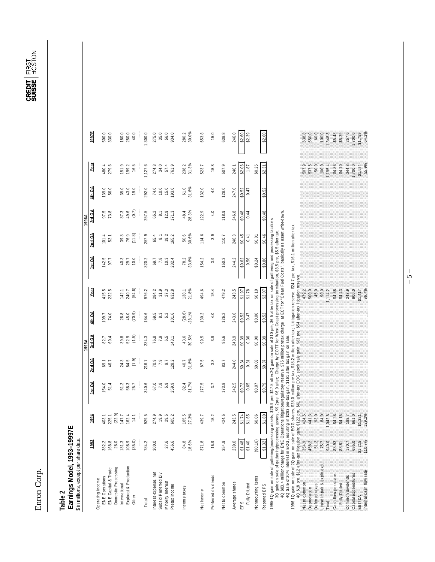Enron Corp. Enron Corp.

**CREDIT** FIRST<br>Suisse Boston

# **Table 2**<br>Earnings Model, 1993–19997E<br>Sinmillions, except per share data  **Earnings Model, 1993–19997E** \$ in millions, except per share data

| <b>DAVUM PU SHOW</b>                                                                                                                                                                                                                                                                                                                                                                                                                                                                                                                                                                                                                                                                              |                                                                                      |               |        |          |        |          |              |        |                      |                  |         |         |         |
|---------------------------------------------------------------------------------------------------------------------------------------------------------------------------------------------------------------------------------------------------------------------------------------------------------------------------------------------------------------------------------------------------------------------------------------------------------------------------------------------------------------------------------------------------------------------------------------------------------------------------------------------------------------------------------------------------|--------------------------------------------------------------------------------------|---------------|--------|----------|--------|----------|--------------|--------|----------------------|------------------|---------|---------|---------|
|                                                                                                                                                                                                                                                                                                                                                                                                                                                                                                                                                                                                                                                                                                   |                                                                                      |               |        |          | 1995A  |          |              |        |                      | 1996A            |         |         |         |
|                                                                                                                                                                                                                                                                                                                                                                                                                                                                                                                                                                                                                                                                                                   | 1993                                                                                 | 1994          | 1st QA | $2nd$ QA | 3rd QA | 4th QA   | Year         | 1st QA | 2nd QA               | 3rd QA           | 4th Q A | Year    | 1997E   |
| Operating income                                                                                                                                                                                                                                                                                                                                                                                                                                                                                                                                                                                                                                                                                  |                                                                                      |               |        |          |        |          |              |        |                      |                  |         |         |         |
| ENE Operations                                                                                                                                                                                                                                                                                                                                                                                                                                                                                                                                                                                                                                                                                    |                                                                                      | 403.1         | 154.0  | 69.1     | 82.7   | 109.7    | 415.5        | 142.5  | 101.4                |                  | 139.0   | 480.4   | 500.0   |
| ENE Capital & Trade                                                                                                                                                                                                                                                                                                                                                                                                                                                                                                                                                                                                                                                                               |                                                                                      | 225.1         | 51.4   | 46.7     | 60.4   | 74.0     | 232.5        | 97.7   | 52.1                 | 97.5<br>73.8     | 56.0    | 279.6   | 330.0   |
| Domestic Processing                                                                                                                                                                                                                                                                                                                                                                                                                                                                                                                                                                                                                                                                               |                                                                                      | (22.9)        |        |          |        |          |              |        |                      |                  |         |         |         |
| International                                                                                                                                                                                                                                                                                                                                                                                                                                                                                                                                                                                                                                                                                     |                                                                                      | 147.7         | 51.2   | 24.3     | 39.8   | 26.8     | 142.1        | 40.3   | 39.3                 | 37.3             | 35.0    | 151.9   | 180.0   |
| Explorat & Production                                                                                                                                                                                                                                                                                                                                                                                                                                                                                                                                                                                                                                                                             |                                                                                      | 162.4         | 58.3   | 84.5     | 52.9   | 45.0     | 240.7        | 29.7   | 76.9                 | 49.6             | 43.0    | 199.2   | 250.0   |
|                                                                                                                                                                                                                                                                                                                                                                                                                                                                                                                                                                                                                                                                                                   |                                                                                      |               |        |          |        |          |              |        |                      |                  |         |         |         |
| Other                                                                                                                                                                                                                                                                                                                                                                                                                                                                                                                                                                                                                                                                                             | $\begin{array}{c} 382.2 \\ 783.8 \\ 783.0 \\ 283.0 \\ 193.9 \\ 193.0 \\ \end{array}$ | 14.1          | 25.7   | (7.9)    | (1.5)  | (70.9)   | (54.6)       | 10.0   | (11.8)               | (0.7)            | 19.0    | 16.5    | 40.0    |
|                                                                                                                                                                                                                                                                                                                                                                                                                                                                                                                                                                                                                                                                                                   |                                                                                      |               | ļ      |          | ţ      | j        |              | ļ      | ł                    | ł                | j       |         |         |
| Total                                                                                                                                                                                                                                                                                                                                                                                                                                                                                                                                                                                                                                                                                             | 784.2                                                                                | 929.5         | 340.6  | 216.7    | 234.3  | 84.6     | 976.2        | 320.2  | 257.9                | 257.5            | 292.0   | 1,127.6 | ,300.0  |
| Interestexpense, net                                                                                                                                                                                                                                                                                                                                                                                                                                                                                                                                                                                                                                                                              | 300.0                                                                                | 274.9         | 67.0   | 70.9     | 76.8   | 69.5     | 284.2        | 69.7   | 65.4                 | 65.2             | 74.0    | 274.3   | 275.0   |
|                                                                                                                                                                                                                                                                                                                                                                                                                                                                                                                                                                                                                                                                                                   |                                                                                      |               |        |          |        |          |              |        |                      |                  |         |         |         |
| Subsid Preferred Div                                                                                                                                                                                                                                                                                                                                                                                                                                                                                                                                                                                                                                                                              |                                                                                      | 19.9          | 7.8    | 7.9      | 7.9    | 8.3      | 31.9         | 7.8    | $\overline{\bullet}$ | $\overline{8}.1$ | 10.0    | 34.0    | 35.0    |
| Minority Interest                                                                                                                                                                                                                                                                                                                                                                                                                                                                                                                                                                                                                                                                                 | 27.                                                                                  | 29.5          | 5.9    | 9.7      | 6.5    | 5.2      | 27.3         | 10.3   | 19.2                 | 12.9             | 15.0    | 57.4    | 56.0    |
| Pretax income                                                                                                                                                                                                                                                                                                                                                                                                                                                                                                                                                                                                                                                                                     | 456.6                                                                                | 605.2         | 259.9  | 128.2    | 143.1  | 101.6    | 632.8        | 232.4  | 165.2                | 171.3            | 193.0   | 761.9   | 934.0   |
|                                                                                                                                                                                                                                                                                                                                                                                                                                                                                                                                                                                                                                                                                                   |                                                                                      |               |        |          |        |          |              |        |                      |                  |         |         |         |
| ncome taxes                                                                                                                                                                                                                                                                                                                                                                                                                                                                                                                                                                                                                                                                                       | 84.8                                                                                 | 165.5         | 82.4   | 40.7     | 43.6   | (28.6)   | 138.1        | 78.2   | 50.6                 | 48.4             | 61.0    | 238.2   | 280.2   |
|                                                                                                                                                                                                                                                                                                                                                                                                                                                                                                                                                                                                                                                                                                   | 18.6%                                                                                | 27.3%         | 31.7%  | 31.8%    | 30.5%  | $-28.1%$ | 21.8%        | 33.6%  | 30.6%                | 28.3%            | 31.6%   | 31.3%   | 30.0%   |
| Net income                                                                                                                                                                                                                                                                                                                                                                                                                                                                                                                                                                                                                                                                                        | 371.8                                                                                | 439.7         | 177.5  | 87.5     | 99.5   | 130.2    | 494.6        | 154.2  | 114.6                | 122.9            | 132.0   | 523.7   | 653.8   |
|                                                                                                                                                                                                                                                                                                                                                                                                                                                                                                                                                                                                                                                                                                   |                                                                                      |               |        |          |        |          |              |        |                      |                  |         |         |         |
| Preferred dividends                                                                                                                                                                                                                                                                                                                                                                                                                                                                                                                                                                                                                                                                               | $\frac{6}{5}$                                                                        | 15.2          | 3.7    | 3.8      | 3.9    | 4.0      | 15.4         | 3.9    | 3.9                  | 4.0              | 4.0     | 15.8    | 15.0    |
| Net to common                                                                                                                                                                                                                                                                                                                                                                                                                                                                                                                                                                                                                                                                                     | 354.                                                                                 | 424.5         | 173.8  | 83.7     | 95.6   | 126.2    | 479.2        | 150.3  | 110.7                | 118.9            | 128.0   | 507.9   | 638.8   |
| Average shares                                                                                                                                                                                                                                                                                                                                                                                                                                                                                                                                                                                                                                                                                    | 239.0                                                                                | 243.5         | 242.5  | 244.0    | 243.9  | 243.6    | 243.5        | 244.2  | 246.3                | 246.8            | 247.0   | 246.1   | 246.0   |
|                                                                                                                                                                                                                                                                                                                                                                                                                                                                                                                                                                                                                                                                                                   | \$1.48                                                                               |               |        |          |        |          |              |        |                      |                  |         |         |         |
| EPS                                                                                                                                                                                                                                                                                                                                                                                                                                                                                                                                                                                                                                                                                               |                                                                                      | \$1.74        | \$0.72 | \$0.34   | \$0.39 | \$0.52   | \$1.97       | \$0.62 | \$0.45               | \$0.48           | \$0.52  | \$2.06  | \$2.60  |
| Fully Diluted                                                                                                                                                                                                                                                                                                                                                                                                                                                                                                                                                                                                                                                                                     | \$1.40                                                                               | \$1.65        | 0.65   | 0.31     | 0.36   | 0.47     | \$1.78       | 0.56   | 0.41                 | 0.44             | 0.47    | 1.87    | \$2.39  |
| Nonrecurring items                                                                                                                                                                                                                                                                                                                                                                                                                                                                                                                                                                                                                                                                                | (\$0.16)                                                                             | \$0.06        | \$0.07 | \$0.03   | \$0.00 | \$0.00   | \$0.10       | \$0.24 | \$0.01               |                  |         | \$0.25  |         |
| Reported EPS                                                                                                                                                                                                                                                                                                                                                                                                                                                                                                                                                                                                                                                                                      | \$1.3                                                                                | \$1.80        | \$0.79 | \$0.37   | \$0.39 | \$0.52   | \$2.07       | \$0.86 | \$0.46               | \$0.48           | \$0.52  | \$2.31  | \$2.60  |
| 3Q gain on sale of gathering/processing assets, \$9.2pre, \$6.0 after; Charge by EOTT for West Coast processing termination, \$8.5 pre, \$5.5 after fax.<br>4Q \$83.4 million charge for ENE Operations litigation/regulatory reserve,<br>1995-1Q gain on sale of gathering/processing assets, \$26.9 pre, \$17.5 after 2Q gain on sale of \$10 pre, \$6.5 after tax on sale of gathering and processing facilities<br>1996-1Q gain on sale of 2Q gain on sale of EQG shares, \$28.0 million pre-tax, \$18.2 million after-tax; Littlagation reserve, \$24.7 pre-tax, \$16.1 million after-tax.<br>4Q Sale of 20% interest in EOG, resulting in \$293 pre-tax gain, \$161 after tax gain on sale. |                                                                                      |               |        |          |        |          |              |        |                      |                  |         |         |         |
| 4Q \$18 pre, \$12 after-tax litigation gain; \$122 pre, \$61 after-tax EOG stock sale gain; \$83 pre, \$64 after-tax litigation reserve.<br>Net to common                                                                                                                                                                                                                                                                                                                                                                                                                                                                                                                                         | 354.9                                                                                | 424.5         |        |          |        |          | 479.2        |        |                      |                  |         | 5079    | 638.8   |
| Depreciation                                                                                                                                                                                                                                                                                                                                                                                                                                                                                                                                                                                                                                                                                      | 4582                                                                                 | 4413          |        |          |        |          | 500.0        |        |                      |                  |         | 537,5   | 550.0   |
| Deferred taxes                                                                                                                                                                                                                                                                                                                                                                                                                                                                                                                                                                                                                                                                                    | $\frac{1}{5}$                                                                        | 93.0          |        |          |        |          | 45.0         |        |                      |                  |         | 50.0    | 60.0    |
| ease impair & explo exp.                                                                                                                                                                                                                                                                                                                                                                                                                                                                                                                                                                                                                                                                          | $\tilde{r}$                                                                          | 840           |        |          |        |          | 90.0         |        |                      |                  |         | 100.0   | 100.0   |
| Total                                                                                                                                                                                                                                                                                                                                                                                                                                                                                                                                                                                                                                                                                             | 940.0                                                                                | 042.8         |        |          |        |          | 114.2        |        |                      |                  |         | 1,195.4 | 1,348.8 |
| Cash flow per share                                                                                                                                                                                                                                                                                                                                                                                                                                                                                                                                                                                                                                                                               | S3.93                                                                                | \$4.28        |        |          |        |          | <b>S4.58</b> |        |                      |                  |         | \$4.86  | \$5.48  |
| Fully Diluted                                                                                                                                                                                                                                                                                                                                                                                                                                                                                                                                                                                                                                                                                     | \$3.8'                                                                               | $\frac{5}{4}$ |        |          |        |          | \$4.43       |        |                      |                  |         | \$4.70  | \$5.29  |
| Common dividends                                                                                                                                                                                                                                                                                                                                                                                                                                                                                                                                                                                                                                                                                  | Ë                                                                                    | 1887          |        |          |        |          | 243          |        |                      |                  |         | 244.8   | 257.0   |
| Capital expenditures                                                                                                                                                                                                                                                                                                                                                                                                                                                                                                                                                                                                                                                                              | 695 C                                                                                | 661.0         |        |          |        |          | 900.0        |        |                      |                  |         | 1,700.0 | 1,700.0 |
| EBITDA                                                                                                                                                                                                                                                                                                                                                                                                                                                                                                                                                                                                                                                                                            | $\frac{5}{21}$                                                                       | <b>S1,321</b> |        |          |        |          | \$1417       |        |                      |                  |         | 574     | \$1,759 |
| Internal cash flow rate                                                                                                                                                                                                                                                                                                                                                                                                                                                                                                                                                                                                                                                                           | 110.7%                                                                               | 129.2%        |        |          |        |          | 96.7%        |        |                      |                  |         | 55.9%   | 64.2%   |
|                                                                                                                                                                                                                                                                                                                                                                                                                                                                                                                                                                                                                                                                                                   |                                                                                      |               |        |          |        |          |              |        |                      |                  |         |         |         |
|                                                                                                                                                                                                                                                                                                                                                                                                                                                                                                                                                                                                                                                                                                   |                                                                                      |               |        |          |        |          |              |        |                      |                  |         |         |         |

– 5 –